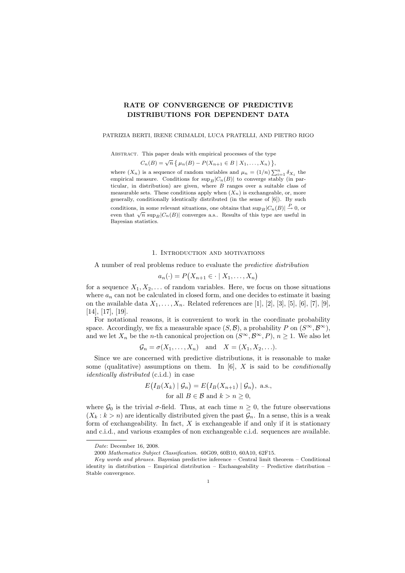# RATE OF CONVERGENCE OF PREDICTIVE DISTRIBUTIONS FOR DEPENDENT DATA

#### PATRIZIA BERTI, IRENE CRIMALDI, LUCA PRATELLI, AND PIETRO RIGO

Abstract. This paper deals with empirical processes of the type

$$
C_n(B) = \sqrt{n} \{ \mu_n(B) - P(X_{n+1} \in B \mid X_1, \ldots, X_n) \},
$$

where  $(X_n)$  is a sequence of random variables and  $\mu_n = (1/n) \sum_{i=1}^n \delta_{X_i}$  the empirical measure. Conditions for  $\sup_B|C_n(B)|$  to converge stably (in particular, in distribution) are given, where  $B$  ranges over a suitable class of measurable sets. These conditions apply when  $(X_n)$  is exchangeable, or, more generally, conditionally identically distributed (in the sense of [6]). By such conditions, in some relevant situations, one obtains that  $\sup_B|C_n(B)| \stackrel{P}{\to} 0$ , or even that  $\sqrt{n}$  sup<sub>B</sub>|C<sub>n</sub>(B)| converges a.s.. Results of this type are useful in Bayesian statistics.

## 1. Introduction and motivations

A number of real problems reduce to evaluate the predictive distribution

$$
a_n(\cdot) = P(X_{n+1} \in \cdot \mid X_1, \dots, X_n)
$$

for a sequence  $X_1, X_2, \ldots$  of random variables. Here, we focus on those situations where  $a_n$  can not be calculated in closed form, and one decides to estimate it basing on the available data  $X_1, \ldots, X_n$ . Related references are [1], [2], [3], [5], [6], [7], [9], [14], [17], [19].

For notational reasons, it is convenient to work in the coordinate probability space. Accordingly, we fix a measurable space  $(S, \mathcal{B})$ , a probability P on  $(S^{\infty}, \mathcal{B}^{\infty})$ , and we let  $X_n$  be the *n*-th canonical projection on  $(S^{\infty}, \mathcal{B}^{\infty}, P)$ ,  $n \geq 1$ . We also let

$$
\mathcal{G}_n = \sigma(X_1, \dots, X_n) \quad \text{and} \quad X = (X_1, X_2, \dots).
$$

Since we are concerned with predictive distributions, it is reasonable to make some (qualitative) assumptions on them. In  $[6]$ , X is said to be *conditionally* identically distributed (c.i.d.) in case

$$
E(I_B(X_k) | \mathcal{G}_n) = E(I_B(X_{n+1}) | \mathcal{G}_n),
$$
 a.s.,  
for all  $B \in \mathcal{B}$  and  $k > n \ge 0$ ,

where  $\mathcal{G}_0$  is the trivial  $\sigma$ -field. Thus, at each time  $n \geq 0$ , the future observations  $(X_k : k > n)$  are identically distributed given the past  $\mathcal{G}_n$ . In a sense, this is a weak form of exchangeability. In fact,  $X$  is exchangeable if and only if it is stationary and c.i.d., and various examples of non exchangeable c.i.d. sequences are available.

Date: December 16, 2008.

<sup>2000</sup> Mathematics Subject Classification. 60G09, 60B10, 60A10, 62F15.

Key words and phrases. Bayesian predictive inference – Central limit theorem – Conditional identity in distribution – Empirical distribution – Exchangeability – Predictive distribution – Stable convergence.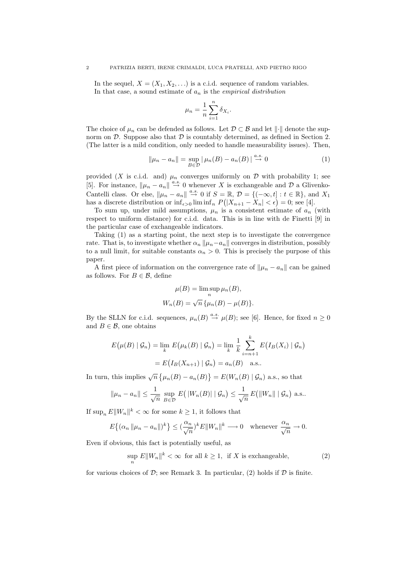In the sequel,  $X = (X_1, X_2, ...)$  is a c.i.d. sequence of random variables. In that case, a sound estimate of  $a_n$  is the *empirical distribution* 

$$
\mu_n = \frac{1}{n} \sum_{i=1}^n \delta_{X_i}.
$$

The choice of  $\mu_n$  can be defended as follows. Let  $\mathcal{D} \subset \mathcal{B}$  and let  $\|\cdot\|$  denote the supnorm on  $\mathcal{D}$ . Suppose also that  $\mathcal{D}$  is countably determined, as defined in Section 2. (The latter is a mild condition, only needed to handle measurability issues). Then,

$$
\|\mu_n - a_n\| = \sup_{B \in \mathcal{D}} |\mu_n(B) - a_n(B)| \stackrel{a.s.}{\to} 0 \tag{1}
$$

provided (X is c.i.d. and)  $\mu_n$  converges uniformly on D with probability 1; see [5]. For instance,  $\|\mu_n - a_n\| \stackrel{a.s.}{\to} 0$  whenever X is exchangeable and D a Glivenko-Cantelli class. Or else,  $\|\mu_n - a_n\| \stackrel{a.s.}{\rightarrow} 0$  if  $S = \mathbb{R}, \mathcal{D} = \{(-\infty, t] : t \in \mathbb{R}\}$ , and  $X_1$ has a discrete distribution or  $\inf_{\epsilon>0} \liminf_{n} P(|X_{n+1} - X_n| < \epsilon) = 0$ ; see [4].

To sum up, under mild assumptions,  $\mu_n$  is a consistent estimate of  $a_n$  (with respect to uniform distance) for c.i.d. data. This is in line with de Finetti [9] in the particular case of exchangeable indicators.

Taking (1) as a starting point, the next step is to investigate the convergence rate. That is, to investigate whether  $\alpha_n ||\mu_n - a_n||$  converges in distribution, possibly to a null limit, for suitable constants  $\alpha_n > 0$ . This is precisely the purpose of this paper.

A first piece of information on the convergence rate of  $\|\mu_n - a_n\|$  can be gained as follows. For  $B \in \mathcal{B}$ , define

$$
\mu(B) = \limsup_{n} \mu_n(B),
$$
  

$$
W_n(B) = \sqrt{n} \{ \mu_n(B) - \mu(B) \}.
$$

By the SLLN for c.i.d. sequences,  $\mu_n(B) \stackrel{a.s.}{\rightarrow} \mu(B)$ ; see [6]. Hence, for fixed  $n \ge 0$ and  $B \in \mathcal{B}$ , one obtains

$$
E(\mu(B) | \mathcal{G}_n) = \lim_{k} E(\mu_k(B) | \mathcal{G}_n) = \lim_{k} \frac{1}{k} \sum_{i=n+1}^{k} E(I_B(X_i) | \mathcal{G}_n)
$$

$$
= E(I_B(X_{n+1}) | \mathcal{G}_n) = a_n(B) \quad \text{a.s..}
$$

In turn, this implies  $\sqrt{n} \{ \mu_n(B) - a_n(B) \} = E(W_n(B) | \mathcal{G}_n)$  a.s., so that

$$
\|\mu_n - a_n\| \le \frac{1}{\sqrt{n}} \sup_{B \in \mathcal{D}} E(|W_n(B)| \mid \mathcal{G}_n) \le \frac{1}{\sqrt{n}} E(||W_n|| \mid \mathcal{G}_n) \text{ a.s.}.
$$

If  $\sup_n E ||W_n||^k < \infty$  for some  $k \ge 1$ , it follows that

$$
E\left\{ (\alpha_n \left\| \mu_n - a_n \right\|)^k \right\} \le (\frac{\alpha_n}{\sqrt{n}})^k E \|W_n\|^k \longrightarrow 0 \quad \text{whenever } \frac{\alpha_n}{\sqrt{n}} \to 0.
$$

Even if obvious, this fact is potentially useful, as

$$
\sup_{n} E\|W_n\|^k < \infty \text{ for all } k \ge 1, \text{ if } X \text{ is exchangeable}, \tag{2}
$$

for various choices of  $\mathcal{D}$ ; see Remark 3. In particular, (2) holds if  $\mathcal D$  is finite.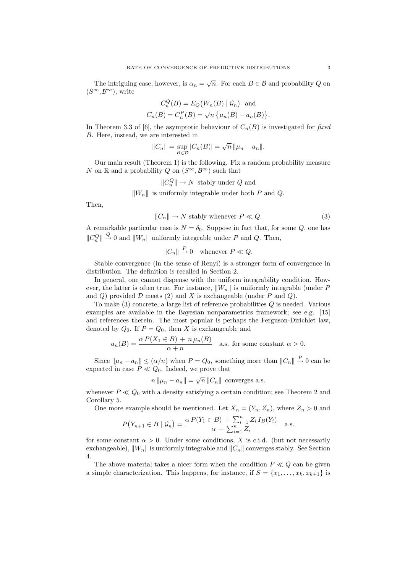The intriguing case, however, is  $\alpha_n = \sqrt{n}$ . For each  $B \in \mathcal{B}$  and probability Q on  $(S^{\infty}, \mathcal{B}^{\infty})$ , write

$$
C_n^Q(B) = E_Q(W_n(B) | \mathcal{G}_n)
$$
 and  

$$
C_n(B) = C_n^P(B) = \sqrt{n} \{ \mu_n(B) - a_n(B) \}.
$$

In Theorem 3.3 of [6], the asymptotic behaviour of  $C_n(B)$  is investigated for fixed B. Here, instead, we are interested in

$$
||C_n|| = \sup_{B \in \mathcal{D}} |C_n(B)| = \sqrt{n} ||\mu_n - a_n||.
$$

Our main result (Theorem 1) is the following. Fix a random probability measure N on R and a probability Q on  $(S^{\infty}, \mathcal{B}^{\infty})$  such that

$$
||C_n^Q|| \to N
$$
 stably under Q and

 $\|W_n\|$  is uniformly integrable under both P and Q.

Then,

$$
||C_n|| \to N \text{ stably whenever } P \ll Q. \tag{3}
$$

A remarkable particular case is  $N = \delta_0$ . Suppose in fact that, for some Q, one has  $||C_n^Q|| \stackrel{Q}{\rightarrow} 0$  and  $||W_n||$  uniformly integrable under P and Q. Then,

$$
||C_n|| \stackrel{P}{\to} 0
$$
 whenever  $P \ll Q$ .

Stable convergence (in the sense of Renyi) is a stronger form of convergence in distribution. The definition is recalled in Section 2.

In general, one cannot dispense with the uniform integrability condition. However, the latter is often true. For instance,  $||W_n||$  is uniformly integrable (under P and  $Q$ ) provided  $D$  meets  $(2)$  and  $X$  is exchangeable (under  $P$  and  $Q$ ).

To make  $(3)$  concrete, a large list of reference probabilities  $Q$  is needed. Various examples are available in the Bayesian nonparametrics framework; see e.g. [15] and references therein. The most popular is perhaps the Ferguson-Dirichlet law, denoted by  $Q_0$ . If  $P = Q_0$ , then X is exchangeable and

$$
a_n(B) = \frac{\alpha P(X_1 \in B) + n \mu_n(B)}{\alpha + n}
$$
 a.s. for some constant  $\alpha > 0$ .

Since  $||\mu_n - a_n|| \leq (\alpha/n)$  when  $P = Q_0$ , something more than  $||C_n|| \stackrel{P}{\rightarrow} 0$  can be expected in case  $P \ll Q_0$ . Indeed, we prove that

$$
n \|\mu_n - a_n\| = \sqrt{n} \|C_n\|
$$
 converges a.s.

whenever  $P \ll Q_0$  with a density satisfying a certain condition; see Theorem 2 and Corollary 5.

One more example should be mentioned. Let  $X_n = (Y_n, Z_n)$ , where  $Z_n > 0$  and

$$
P(Y_{n+1} \in B \mid \mathcal{G}_n) = \frac{\alpha P(Y_1 \in B) + \sum_{i=1}^n Z_i I_B(Y_i)}{\alpha + \sum_{i=1}^n Z_i} \quad \text{a.s.}
$$

for some constant  $\alpha > 0$ . Under some conditions, X is c.i.d. (but not necessarily exchangeable),  $\|W_n\|$  is uniformly integrable and  $\|C_n\|$  converges stably. See Section 4.

The above material takes a nicer form when the condition  $P \ll Q$  can be given a simple characterization. This happens, for instance, if  $S = \{x_1, \ldots, x_k, x_{k+1}\}\$ is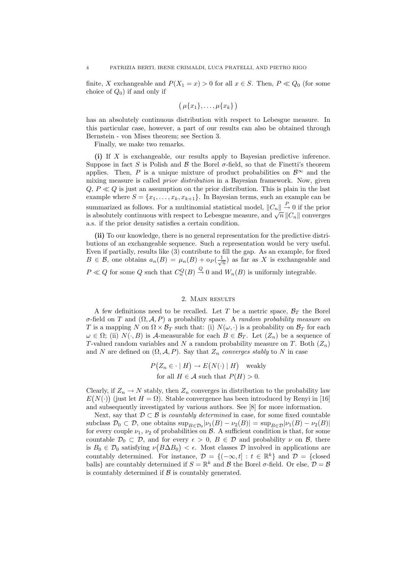finite, X exchangeable and  $P(X_1 = x) > 0$  for all  $x \in S$ . Then,  $P \ll Q_0$  (for some choice of  $Q_0$ ) if and only if

$$
(\mu\{x_1\},\ldots,\mu\{x_k\})
$$

has an absolutely continuous distribution with respect to Lebesgue measure. In this particular case, however, a part of our results can also be obtained through Bernstein - von Mises theorem; see Section 3.

Finally, we make two remarks.

(i) If X is exchangeable, our results apply to Bayesian predictive inference. Suppose in fact S is Polish and B the Borel  $\sigma$ -field, so that de Finetti's theorem applies. Then, P is a unique mixture of product probabilities on  $\mathcal{B}^{\infty}$  and the mixing measure is called prior distribution in a Bayesian framework. Now, given  $Q, P \ll Q$  is just an assumption on the prior distribution. This is plain in the last example where  $S = \{x_1, \ldots, x_k, x_{k+1}\}\$ . In Bayesian terms, such an example can be summarized as follows. For a multinomial statistical model,  $||C_n|| \overset{P}{\longrightarrow} 0$  if the prior is absolutely continuous with respect to Lebesgue measure, and  $\sqrt{n} ||C_n||$  converges a.s. if the prior density satisfies a certain condition.

(ii) To our knowledge, there is no general representation for the predictive distributions of an exchangeable sequence. Such a representation would be very useful. Even if partially, results like (3) contribute to fill the gap. As an example, for fixed  $B \in \mathcal{B}$ , one obtains  $a_n(B) = \mu_n(B) + o_P(\frac{1}{\sqrt{n}})$  as far as X is exchangeable and  $P \ll Q$  for some Q such that  $C_n^Q(B) \stackrel{Q}{\to} 0$  and  $W_n(B)$  is uniformly integrable.

# 2. Main results

A few definitions need to be recalled. Let T be a metric space,  $\mathcal{B}_T$  the Borel σ-field on T and  $(Ω, A, P)$  a probability space. A random probability measure on T is a mapping N on  $\Omega \times \mathcal{B}_T$  such that: (i)  $N(\omega, \cdot)$  is a probability on  $\mathcal{B}_T$  for each  $\omega \in \Omega$ ; (ii)  $N(\cdot, B)$  is A-measurable for each  $B \in \mathcal{B}_T$ . Let  $(Z_n)$  be a sequence of T-valued random variables and N a random probability measure on T. Both  $(Z_n)$ and N are defined on  $(\Omega, \mathcal{A}, P)$ . Say that  $Z_n$  converges stably to N in case

$$
P(Z_n \in \cdot \mid H) \to E(N(\cdot) \mid H) \quad \text{weakly} \text{for all } H \in \mathcal{A} \text{ such that } P(H) > 0.
$$

Clearly, if  $Z_n \to N$  stably, then  $Z_n$  converges in distribution to the probability law  $E(N(\cdot))$  (just let  $H = \Omega$ ). Stable convergence has been introduced by Renyi in [16] and subsequently investigated by various authors. See [8] for more information.

Next, say that  $\mathcal{D} \subset \mathcal{B}$  is *countably determined* in case, for some fixed countable subclass  $\mathcal{D}_0 \subset \mathcal{D}$ , one obtains  $\sup_{B \in \mathcal{D}_0} |\nu_1(B) - \nu_2(B)| = \sup_{B \in \mathcal{D}} |\nu_1(B) - \nu_2(B)|$ for every couple  $\nu_1$ ,  $\nu_2$  of probabilities on  $\beta$ . A sufficient condition is that, for some countable  $\mathcal{D}_0 \subset \mathcal{D}$ , and for every  $\epsilon > 0$ ,  $B \in \mathcal{D}$  and probability  $\nu$  on  $\mathcal{B}$ , there is  $B_0 \in \mathcal{D}_0$  satisfying  $\nu(B \Delta B_0) < \epsilon$ . Most classes  $\mathcal D$  involved in applications are countably determined. For instance,  $\mathcal{D} = \{(-\infty, t] : t \in \mathbb{R}^k\}$  and  $\mathcal{D} = \{\text{closed}\}$ balls} are countably determined if  $S = \mathbb{R}^k$  and  $\beta$  the Borel  $\sigma$ -field. Or else,  $\mathcal{D} = \mathcal{B}$ is countably determined if  $\beta$  is countably generated.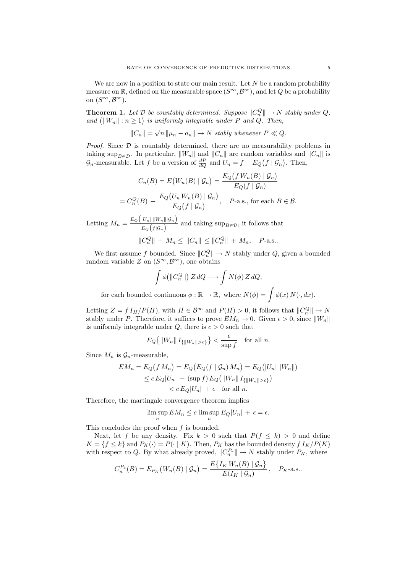We are now in a position to state our main result. Let  $N$  be a random probability measure on R, defined on the measurable space  $(S^{\infty}, \mathcal{B}^{\infty})$ , and let Q be a probability on  $(S^{\infty}, \mathcal{B}^{\infty})$ .

**Theorem 1.** Let  $\mathcal{D}$  be countably determined. Suppose  $||C_n^Q|| \to N$  stably under  $Q$ , and  $(||W_n||: n \ge 1)$  is uniformly integrable under P and  $Q$ . Then,

$$
||C_n|| = \sqrt{n} ||\mu_n - a_n|| \to N \text{ stably whenever } P \ll Q.
$$

*Proof.* Since  $D$  is countably determined, there are no measurability problems in taking sup<sub>B∈D</sub>. In particular,  $||W_n||$  and  $||C_n||$  are random variables and  $||C_n||$  is  $\mathcal{G}_n$ -measurable. Let f be a version of  $\frac{dP}{dQ}$  and  $U_n = f - E_Q(f | \mathcal{G}_n)$ . Then,

$$
C_n(B) = E(W_n(B) | \mathcal{G}_n) = \frac{E_Q(f W_n(B) | \mathcal{G}_n)}{E_Q(f | \mathcal{G}_n)}
$$
  
=  $C_n^Q(B) + \frac{E_Q(U_n W_n(B) | \mathcal{G}_n)}{E_Q(f | \mathcal{G}_n)}, \quad P$ -a.s., for each  $B \in \mathcal{B}$ .

Letting  $M_n = \frac{E_Q(|U_n| ||W_n|| | \mathcal{G}_n)}{E_Q(|U_n|)}$  $\frac{\sum_{n=1}^{\infty} \sum_{n=1}^{\infty} \sum_{n=1}^{\infty} \sum_{n=1}^{\infty} \sum_{n=1}^{\infty} \sum_{n=1}^{\infty} \sum_{n=1}^{\infty} \sum_{n=1}^{\infty} \sum_{n=1}^{\infty} \sum_{n=1}^{\infty} \sum_{n=1}^{\infty} \sum_{n=1}^{\infty} \sum_{n=1}^{\infty} \sum_{n=1}^{\infty} \sum_{n=1}^{\infty} \sum_{n=1}^{\infty} \sum_{n=1}^{\infty} \sum_{n=1}^{\infty} \sum$  $||C_n^Q|| - M_n \le ||C_n|| \le ||C_n^Q|| + M_n, \quad P\text{-a.s.}.$ 

We first assume f bounded. Since  $||C_n^Q|| \to N$  stably under Q, given a bounded random variable Z on  $(S^{\infty}, \mathcal{B}^{\infty})$ , one obtains

$$
\int \phi\big(||C_n^Q||\big) Z \, dQ \longrightarrow \int N(\phi) \, Z \, dQ,
$$

for each bounded continuous  $\phi : \mathbb{R} \to \mathbb{R}$ , where  $N(\phi) = \int \phi(x) N(\cdot, dx)$ .

Letting  $Z = f I_H/P(H)$ , with  $H \in \mathcal{B}^{\infty}$  and  $P(H) > 0$ , it follows that  $||C_n^Q|| \to N$ stably under P. Therefore, it suffices to prove  $EM_n \to 0$ . Given  $\epsilon > 0$ , since  $||W_n||$ is uniformly integrable under  $Q$ , there is  $c > 0$  such that

$$
E_Q\big\{\|W_n\|\,I_{\{\|W_n\|>c\}}\big\}<\frac{\epsilon}{\sup f}\quad\text{for all }n.
$$

Since  $M_n$  is  $\mathcal{G}_n$ -measurable,

$$
EM_n = E_Q(f M_n) = E_Q(E_Q(f | \mathcal{G}_n) M_n) = E_Q(|U_n| ||W_n||)
$$
  
\n
$$
\leq c E_Q|U_n| + (\sup f) E_Q(||W_n||I_{\{\|W_n\|>c\}})
$$
  
\n
$$
< c E_Q|U_n| + \epsilon \quad \text{for all } n.
$$

Therefore, the martingale convergence theorem implies

$$
\limsup_n EM_n \le c \limsup_n E_Q |U_n| + \epsilon = \epsilon.
$$

This concludes the proof when  $f$  is bounded.

Next, let f be any density. Fix  $k > 0$  such that  $P(f \le k) > 0$  and define  $K = \{f \le k\}$  and  $P_K(\cdot) = P(\cdot | K)$ . Then,  $P_K$  has the bounded density  $f I_K/P(K)$ with respect to Q. By what already proved,  $||C_n^{P_k}|| \to N$  stably under  $P_K$ , where

$$
C_n^{P_k}(B) = E_{P_K}\big(W_n(B) \mid \mathcal{G}_n\big) = \frac{E\big\{I_K W_n(B) \mid \mathcal{G}_n\big\}}{E(I_K \mid \mathcal{G}_n)}, \quad P_K\text{-a.s.}.
$$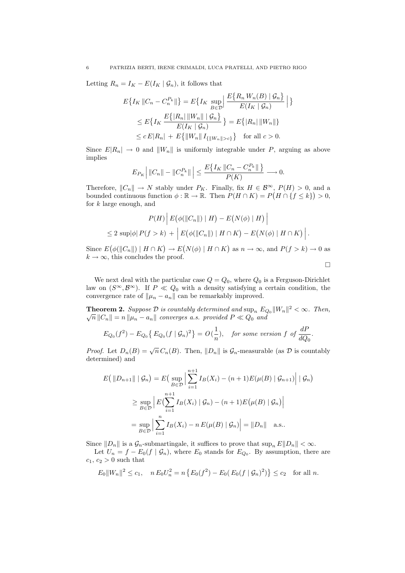Letting  $R_n = I_K - E(I_K | \mathcal{G}_n)$ , it follows that

$$
E\{I_K || C_n - C_n^{P_k} ||\} = E\{I_K \sup_{B \in \mathcal{D}} \left| \frac{E\{R_n W_n(B) | \mathcal{G}_n\}}{E(I_K | \mathcal{G}_n)} \right| \}
$$
  
\n
$$
\leq E\{I_K \frac{E\{|R_n| ||W_n|| | \mathcal{G}_n\}}{E(I_K | \mathcal{G}_n)} \} = E\{|R_n| ||W_n||\}
$$
  
\n
$$
\leq c E |R_n| + E\{||W_n||I_{\{\|W_n\| > c\}}\} \text{ for all } c > 0.
$$

Since  $E|R_n| \to 0$  and  $||W_n||$  is uniformly integrable under P, arguing as above implies

$$
E_{P_K}\Big|\left\|C_n\right\|-\left\|C_n^{P_k}\right\|\Big|\leq \frac{E\big\{I_K\left\|C_n-C_n^{P_k}\right\|\big\}}{P(K)}\longrightarrow 0.
$$

Therefore,  $||C_n|| \to N$  stably under  $P_K$ . Finally, fix  $H \in \mathcal{B}^{\infty}$ ,  $P(H) > 0$ , and a bounded continuous function  $\phi : \mathbb{R} \to \mathbb{R}$ . Then  $P(H \cap K) = P(H \cap \{f \leq k\}) > 0$ , for  $k$  large enough, and

$$
P(H) | E(\phi(||C_n||) | H) - E(N(\phi) | H) |
$$
  
\n
$$
\leq 2 \sup |\phi| P(f > k) + | E(\phi(||C_n||) | H \cap K) - E(N(\phi) | H \cap K) |.
$$

Since  $E(\phi(||C_n||) | H \cap K) \to E(N(\phi) | H \cap K)$  as  $n \to \infty$ , and  $P(f > k) \to 0$  as  $k \to \infty$ , this concludes the proof.

 $\Box$ 

We next deal with the particular case  $Q = Q_0$ , where  $Q_0$  is a Ferguson-Dirichlet law on  $(S^{\infty}, \mathcal{B}^{\infty})$ . If  $P \ll Q_0$  with a density satisfying a certain condition, the convergence rate of  $\|\mu_n - a_n\|$  can be remarkably improved.

**Theorem 2.** Suppose  $\mathcal{D}$  is countably determined and  $\sup_n E_{Q_0} ||W_n||^2 < \infty$ . Then,  $\sqrt{n} ||C_n|| = n ||\mu_n - a_n||$  converges a.s. provided  $P \ll Q_0$  and

$$
E_{Q_0}(f^2) - E_{Q_0}\left\{E_{Q_0}(f \mid \mathcal{G}_n)^2\right\} = O\left(\frac{1}{n}\right), \quad \text{for some version } f \text{ of } \frac{dP}{dQ_0}.
$$

*Proof.* Let  $D_n(B) = \sqrt{n} C_n(B)$ . Then,  $||D_n||$  is  $\mathcal{G}_n$ -measurable (as  $\mathcal D$  is countably determined) and

$$
E\left(\|D_{n+1}\| \mid \mathcal{G}_n\right) = E\left(\sup_{B \in \mathcal{D}} \left| \sum_{i=1}^{n+1} I_B(X_i) - (n+1)E(\mu(B) \mid \mathcal{G}_{n+1}) \right| \mid \mathcal{G}_n\right)
$$
  
\n
$$
\geq \sup_{B \in \mathcal{D}} \left| E\left(\sum_{i=1}^{n+1} I_B(X_i) \mid \mathcal{G}_n\right) - (n+1)E(\mu(B) \mid \mathcal{G}_n)\right|
$$
  
\n
$$
= \sup_{B \in \mathcal{D}} \left| \sum_{i=1}^{n} I_B(X_i) - n E(\mu(B) \mid \mathcal{G}_n)\right| = \|D_n\| \quad \text{a.s.}.
$$

Since  $||D_n||$  is a  $\mathcal{G}_n$ -submartingale, it suffices to prove that  $\sup_n E||D_n|| < \infty$ .

Let  $U_n = f - E_0(f | \mathcal{G}_n)$ , where  $E_0$  stands for  $E_{Q_0}$ . By assumption, there are  $c_1, c_2 > 0$  such that

$$
E_0||W_n||^2 \le c_1, \quad nE_0U_n^2 = n\left\{E_0(f^2) - E_0(E_0(f \mid \mathcal{G}_n)^2)\right\} \le c_2 \quad \text{for all } n.
$$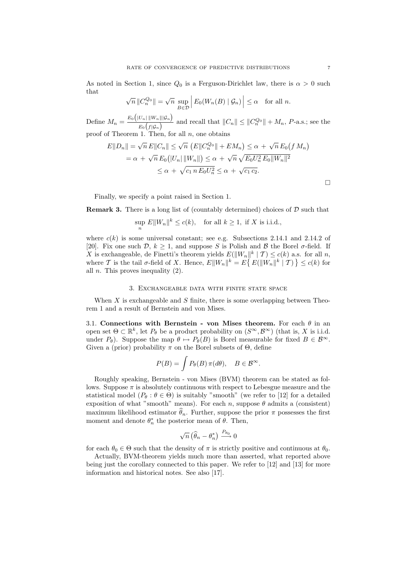As noted in Section 1, since  $Q_0$  is a Ferguson-Dirichlet law, there is  $\alpha > 0$  such that

$$
\sqrt{n} ||C_n^{Q_0}|| = \sqrt{n} \sup_{B \in \mathcal{D}} \left| E_0(W_n(B) | \mathcal{G}_n) \right| \le \alpha \quad \text{for all } n.
$$

Define  $M_n = \frac{E_0(|U_n| ||W_n|| | \mathcal{G}_n)}{E_0(|\mathcal{G}_n|)}$  $\frac{C_n||W_n||W_n}{E_0(f|\mathcal{G}_n)}$  and recall that  $||C_n|| \leq ||C_n^{\mathcal{Q}_0}|| + M_n$ , P-a.s.; see the proof of Theorem 1. Then, for all  $n$ , one obtains

$$
E||D_n|| = \sqrt{n} E||C_n|| \le \sqrt{n} \left( E||C_n^{Q_0}|| + EM_n \right) \le \alpha + \sqrt{n} E_0(f M_n)
$$
  
=  $\alpha + \sqrt{n} E_0(|U_n| ||W_n||) \le \alpha + \sqrt{n} \sqrt{E_0 U_n^2 E_0 ||W_n||^2}$   
 $\le \alpha + \sqrt{c_1 n E_0 U_n^2} \le \alpha + \sqrt{c_1 c_2}.$ 

Finally, we specify a point raised in Section 1.

**Remark 3.** There is a long list of (countably determined) choices of  $\mathcal{D}$  such that

$$
\sup_n E||W_n||^k \le c(k), \quad \text{for all } k \ge 1, \text{ if } X \text{ is i.i.d.},
$$

where  $c(k)$  is some universal constant; see e.g. Subsections 2.14.1 and 2.14.2 of [20]. Fix one such  $\mathcal{D}, k \geq 1$ , and suppose S is Polish and B the Borel  $\sigma$ -field. If X is exchangeable, de Finetti's theorem yields  $E(||W_n||^k | \mathcal{T}) \leq c(k)$  a.s. for all n, where T is the tail  $\sigma$ -field of X. Hence,  $E||W_n||^k = E\{E(||W_n||^k \mid \mathcal{T})\} \leq c(k)$  for all  $n$ . This proves inequality  $(2)$ .

### 3. Exchangeable data with finite state space

When  $X$  is exchangeable and  $S$  finite, there is some overlapping between Theorem 1 and a result of Bernstein and von Mises.

3.1. Connections with Bernstein - von Mises theorem. For each  $\theta$  in an open set  $\Theta \subset \mathbb{R}^k$ , let  $P_\theta$  be a product probability on  $(S^\infty, \mathcal{B}^\infty)$  (that is, X is i.i.d. under  $P_{\theta}$ ). Suppose the map  $\theta \mapsto P_{\theta}(B)$  is Borel measurable for fixed  $B \in \mathcal{B}^{\infty}$ . Given a (prior) probability  $\pi$  on the Borel subsets of  $\Theta$ , define

$$
P(B) = \int P_{\theta}(B) \pi(d\theta), \quad B \in \mathcal{B}^{\infty}.
$$

Roughly speaking, Bernstein - von Mises (BVM) theorem can be stated as follows. Suppose  $\pi$  is absolutely continuous with respect to Lebesgue measure and the statistical model ( $P_{\theta}$ :  $\theta \in \Theta$ ) is suitably "smooth" (we refer to [12] for a detailed exposition of what "smooth" means). For each n, suppose  $\theta$  admits a (consistent) maximum likelihood estimator  $\hat{\theta}_n$ . Further, suppose the prior  $\pi$  possesses the first moment and denote  $\theta_n^*$  the posterior mean of  $\theta$ . Then,

$$
\sqrt{n}\left(\widehat{\theta}_n - \theta_n^*\right) \xrightarrow{P_{\theta_0}} 0
$$

for each  $\theta_0 \in \Theta$  such that the density of  $\pi$  is strictly positive and continuous at  $\theta_0$ .

Actually, BVM-theorem yields much more than asserted, what reported above being just the corollary connected to this paper. We refer to [12] and [13] for more information and historical notes. See also [17].

 $\Box$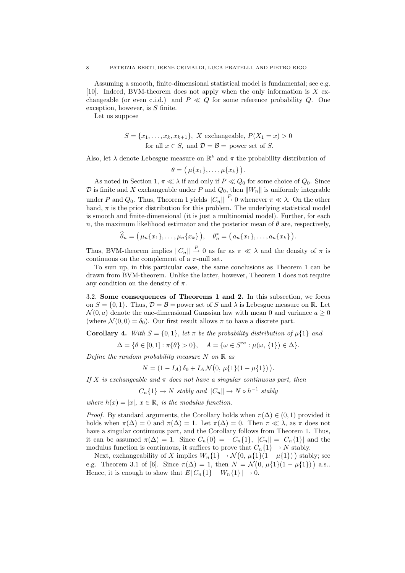Assuming a smooth, finite-dimensional statistical model is fundamental; see e.g. [10]. Indeed, BVM-theorem does not apply when the only information is  $X$  exchangeable (or even c.i.d.) and  $P \ll Q$  for some reference probability Q. One exception, however, is  $S$  finite.

Let us suppose

$$
S = \{x_1, \dots, x_k, x_{k+1}\}, \ X \text{ exchangeable, } P(X_1 = x) > 0
$$
  
for all  $x \in S$ , and  $\mathcal{D} = \mathcal{B} = \text{power set of } S.$ 

Also, let  $\lambda$  denote Lebesgue measure on  $\mathbb{R}^k$  and  $\pi$  the probability distribution of

$$
\theta = (\mu\{x_1\},\ldots,\mu\{x_k\}).
$$

As noted in Section 1,  $\pi \ll \lambda$  if and only if  $P \ll Q_0$  for some choice of  $Q_0$ . Since  $\mathcal D$  is finite and X exchangeable under P and  $Q_0$ , then  $||W_n||$  is uniformly integrable under P and  $Q_0$ . Thus, Theorem 1 yields  $||C_n|| \stackrel{P}{\to} 0$  whenever  $\pi \ll \lambda$ . On the other hand,  $\pi$  is the prior distribution for this problem. The underlying statistical model is smooth and finite-dimensional (it is just a multinomial model). Further, for each n, the maximum likelihood estimator and the posterior mean of  $\theta$  are, respectively,

$$
\widehat{\theta}_n = (\mu_n\{x_1\}, \ldots, \mu_n\{x_k\}), \quad \theta_n^* = (a_n\{x_1\}, \ldots, a_n\{x_k\}).
$$

Thus, BVM-theorem implies  $||C_n|| \overset{P}{\to} 0$  as far as  $\pi \ll \lambda$  and the density of  $\pi$  is continuous on the complement of a  $\pi$ -null set.

To sum up, in this particular case, the same conclusions as Theorem 1 can be drawn from BVM-theorem. Unlike the latter, however, Theorem 1 does not require any condition on the density of  $\pi$ .

3.2. Some consequences of Theorems 1 and 2. In this subsection, we focus on  $S = \{0, 1\}$ . Thus,  $\mathcal{D} = \mathcal{B}$  = power set of S and  $\lambda$  is Lebesgue measure on R. Let  $\mathcal{N}(0, a)$  denote the one-dimensional Gaussian law with mean 0 and variance  $a > 0$ (where  $\mathcal{N}(0,0) = \delta_0$ ). Our first result allows  $\pi$  to have a discrete part.

**Corollary 4.** With  $S = \{0, 1\}$ , let  $\pi$  be the probability distribution of  $\mu\{1\}$  and

$$
\Delta = \{ \theta \in [0, 1] : \pi \{ \theta \} > 0 \}, \quad A = \{ \omega \in S^{\infty} : \mu(\omega, \{ 1 \}) \in \Delta \}.
$$

Define the random probability measure  $N$  on  $\mathbb R$  as

 $N = (1 - I_A) \delta_0 + I_A \mathcal{N}(0, \mu{1}(1 - \mu{1})).$ 

If X is exchangeable and  $\pi$  does not have a singular continuous part, then

$$
C_n\{1\} \to N \, \, stably \, \, and \, \, ||C_n|| \to N \circ h^{-1} \, \, stably
$$

where  $h(x) = |x|, x \in \mathbb{R}$ , is the modulus function.

*Proof.* By standard arguments, the Corollary holds when  $\pi(\Delta) \in (0,1)$  provided it holds when  $\pi(\Delta) = 0$  and  $\pi(\Delta) = 1$ . Let  $\pi(\Delta) = 0$ . Then  $\pi \ll \lambda$ , as  $\pi$  does not have a singular continuous part, and the Corollary follows from Theorem 1. Thus, it can be assumed  $\pi(\Delta) = 1$ . Since  $C_n\{0\} = -C_n\{1\}$ ,  $||C_n|| = |C_n\{1\}|$  and the modulus function is continuous, it suffices to prove that  $C_n\{1\} \to N$  stably.

Next, exchangeability of X implies  $W_n\{1\} \to \mathcal{N}(0, \mu\{1\}(1-\mu\{1\}))$  stably; see e.g. Theorem 3.1 of [6]. Since  $\pi(\Delta) = 1$ , then  $N = \mathcal{N}(0, \mu{1}(1 - \mu{1}))$  a.s.. Hence, it is enough to show that  $E| C_n\{1\} - W_n\{1\}| \to 0$ .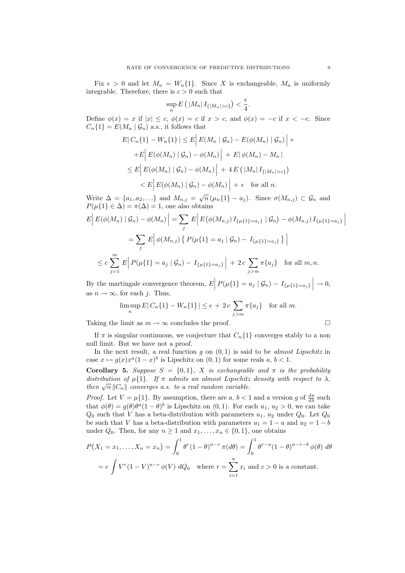Fix  $\epsilon > 0$  and let  $M_n = W_n\{1\}$ . Since X is exchangeable,  $M_n$  is uniformly integrable. Therefore, there is  $c > 0$  such that

$$
\sup_n E\left(\left|M_n\right|I_{\{|M_n|>c\}}\right)<\frac{\epsilon}{4}.
$$

Define  $\phi(x) = x$  if  $|x| \leq c$ ,  $\phi(x) = c$  if  $x > c$ , and  $\phi(x) = -c$  if  $x < -c$ . Since  $C_n\{1\} = E(M_n | \mathcal{G}_n)$  a.s., it follows that

$$
E|C_n\{1\} - W_n\{1\}| \le E|E(M_n | \mathcal{G}_n) - E(\phi(M_n) | \mathcal{G}_n)| +
$$
  
+
$$
E|E(\phi(M_n) | \mathcal{G}_n) - \phi(M_n)| + E|\phi(M_n) - M_n|
$$
  

$$
\le E|E(\phi(M_n) | \mathcal{G}_n) - \phi(M_n)| + 4 E(|M_n| I_{\{|M_n| > c\}})
$$
  

$$
< E|E(\phi(M_n) | \mathcal{G}_n) - \phi(M_n)| + \epsilon \text{ for all } n.
$$

Write  $\Delta = \{a_1, a_2, ...\}$  and  $M_{n,j} = \sqrt{n} (\mu_n \{1\} - a_j)$ . Since  $\sigma(M_{n,j}) \subset \mathcal{G}_n$  and  $P(\mu\{1\} \in \Delta) = \pi(\Delta) = 1$ , one also obtains

$$
E\left|E(\phi(M_n) | \mathcal{G}_n) - \phi(M_n)\right| = \sum_{j} E\left|E(\phi(M_{n,j}) I_{\{\mu\{1\} = a_j\}} | \mathcal{G}_n) - \phi(M_{n,j}) I_{\{\mu\{1\} = a_j\}}\right|
$$
  

$$
= \sum_{j} E\left|\phi(M_{n,j}) \{P(\mu\{1\} = a_j | \mathcal{G}_n) - I_{\{\mu\{1\} = a_j\}}\}\right|
$$
  

$$
\leq c \sum_{j=1}^{m} E\left|P(\mu\{1\} = a_j | \mathcal{G}_n) - I_{\{\mu\{1\} = a_j\}}\right| + 2c \sum_{j>m} \pi\{a_j\} \text{ for all } m, n.
$$

By the martingale convergence theorem,  $E\Big|\,P(\mu\{1\}=a_j\mid \mathcal{G}_n)-I_{\{\mu\{1\}=a_j\}}\,\Big|\to 0,$ as  $n \to \infty$ , for each j. Thus,

$$
\limsup_{n} E|C_n\{1\} - W_n\{1\}| \le \epsilon + 2c \sum_{j>m} \pi\{a_j\} \text{ for all } m.
$$

Taking the limit as  $m \to \infty$  concludes the proof.

If  $\pi$  is singular continuous, we conjecture that  $C_n\{1\}$  converges stably to a non null limit. But we have not a proof.

In the next result, a real function  $g$  on  $(0, 1)$  is said to be *almost Lipschitz* in case  $x \mapsto g(x)x^a(1-x)^b$  is Lipschitz on  $(0, 1)$  for some reals  $a, b < 1$ .

Corollary 5. Suppose  $S = \{0, 1\}$ , X is exchangeable and  $\pi$  is the probability distribution of  $\mu\{1\}$ . If  $\pi$  admits an almost Lipschitz density with respect to  $\lambda$ , then  $\sqrt{n} ||C_n||$  converges a.s. to a real random variable.

*Proof.* Let  $V = \mu\{1\}$ . By assumption, there are  $a, b < 1$  and a version g of  $\frac{d\pi}{d\lambda}$  such that  $\phi(\theta) = g(\theta)\theta^a(1-\theta)^b$  is Lipschitz on  $(0,1)$ . For each  $u_1, u_2 > 0$ , we can take  $Q_0$  such that V has a beta-distribution with parameters  $u_1, u_2$  under  $Q_0$ . Let  $Q_0$ be such that V has a beta-distribution with parameters  $u_1 = 1 - a$  and  $u_2 = 1 - b$ under  $Q_0$ . Then, for any  $n \geq 1$  and  $x_1, \ldots, x_n \in \{0, 1\}$ , one obtains

$$
P(X_1 = x_1, \dots, X_n = x_n) = \int_0^1 \theta^r (1 - \theta)^{n-r} \pi(d\theta) = \int_0^1 \theta^{r-a} (1 - \theta)^{n-r-b} \phi(\theta) d\theta
$$

$$
= c \int V^r (1 - V)^{n-r} \phi(V) dQ_0 \quad \text{where } r = \sum_{i=1}^n x_i \text{ and } c > 0 \text{ is a constant.}
$$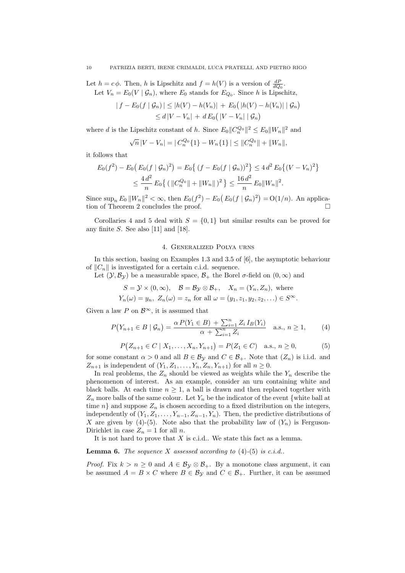Let  $h = c\phi$ . Then, h is Lipschitz and  $f = h(V)$  is a version of  $\frac{dP}{dQ_0}$ . Let  $V_n = E_0(V | \mathcal{G}_n)$ , where  $E_0$  stands for  $E_{Q_0}$ . Since h is Lipschitz,

$$
|f - E_0(f | \mathcal{G}_n)| \le |h(V) - h(V_n)| + E_0(|h(V) - h(V_n)| | \mathcal{G}_n)
$$
  
\n
$$
\le d|V - V_n| + d E_0(|V - V_n| | \mathcal{G}_n)
$$

where d is the Lipschitz constant of h. Since  $E_0||C_n^{Q_0}||^2 \le E_0||W_n||^2$  and

$$
\sqrt{n}|V - V_n| = |C_n^{Q_0}\{1\} - W_n\{1\}| \leq ||C_n^{Q_0}|| + ||W_n||,
$$

it follows that

$$
E_0(f^2) - E_0(E_0(f \mid \mathcal{G}_n)^2) = E_0\{(f - E_0(f \mid \mathcal{G}_n))^2\} \le 4 d^2 E_0 \{(V - V_n)^2\}
$$
  

$$
\le \frac{4 d^2}{n} E_0\{ (\|C_n^{Q_0}\| + \|W_n\|)^2 \} \le \frac{16 d^2}{n} E_0 \|W_n\|^2.
$$

Since  $\sup_n E_0 ||W_n||^2 < \infty$ , then  $E_0(f^2) - E_0(E_0(f | \mathcal{G}_n)^2) = O(1/n)$ . An application of Theorem 2 concludes the proof.

Corollaries 4 and 5 deal with  $S = \{0, 1\}$  but similar results can be proved for any finite  $S$ . See also [11] and [18].

#### 4. Generalized Polya urns

In this section, basing on Examples 1.3 and 3.5 of [6], the asymptotic behaviour of  $||C_n||$  is investigated for a certain c.i.d. sequence.

Let  $(\mathcal{Y}, \mathcal{B}_{\mathcal{Y}})$  be a measurable space,  $\mathcal{B}_+$  the Borel  $\sigma$ -field on  $(0, \infty)$  and

$$
S = \mathcal{Y} \times (0, \infty), \quad \mathcal{B} = \mathcal{B}_{\mathcal{Y}} \otimes \mathcal{B}_{+}, \quad X_n = (Y_n, Z_n), \text{ where}
$$

 $Y_n(\omega) = y_n, Z_n(\omega) = z_n \text{ for all } \omega = (y_1, z_1, y_2, z_2, \ldots) \in S^{\infty}.$ 

Given a law P on  $\mathcal{B}^{\infty}$ , it is assumed that

$$
P(Y_{n+1} \in B \mid \mathcal{G}_n) = \frac{\alpha P(Y_1 \in B) + \sum_{i=1}^n Z_i I_B(Y_i)}{\alpha + \sum_{i=1}^n Z_i} \quad \text{a.s., } n \ge 1,
$$
 (4)

$$
P(Z_{n+1} \in C \mid X_1, \dots, X_n, Y_{n+1}) = P(Z_1 \in C) \quad \text{a.s., } n \ge 0,
$$
 (5)

for some constant  $\alpha > 0$  and all  $B \in \mathcal{B}_{\mathcal{Y}}$  and  $C \in \mathcal{B}_+$ . Note that  $(Z_n)$  is i.i.d. and  $Z_{n+1}$  is independent of  $(Y_1, Z_1, \ldots, Y_n, Z_n, Y_{n+1})$  for all  $n \geq 0$ .

In real problems, the  $Z_n$  should be viewed as weights while the  $Y_n$  describe the phenomenon of interest. As an example, consider an urn containing white and black balls. At each time  $n \geq 1$ , a ball is drawn and then replaced together with  $Z_n$  more balls of the same colour. Let  $Y_n$  be the indicator of the event {white ball at time n} and suppose  $Z_n$  is chosen according to a fixed distribution on the integers, independently of  $(Y_1, Z_1, \ldots, Y_{n-1}, Z_{n-1}, Y_n)$ . Then, the predictive distributions of X are given by (4)-(5). Note also that the probability law of  $(Y_n)$  is Ferguson-Dirichlet in case  $Z_n = 1$  for all n.

It is not hard to prove that  $X$  is c.i.d.. We state this fact as a lemma.

#### **Lemma 6.** The sequence X assessed according to  $(4)$ - $(5)$  is c.i.d..

*Proof.* Fix  $k > n \geq 0$  and  $A \in \mathcal{B}_{\mathcal{Y}} \otimes \mathcal{B}_{+}$ . By a monotone class argument, it can be assumed  $A = B \times C$  where  $B \in \mathcal{B}_{\mathcal{Y}}$  and  $C \in \mathcal{B}_{+}$ . Further, it can be assumed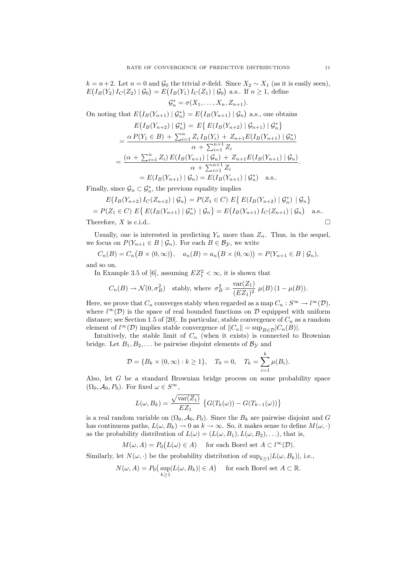$k = n + 2$ . Let  $n = 0$  and  $\mathcal{G}_0$  the trivial  $\sigma$ -field. Since  $X_2 \sim X_1$  (as it is easily seen),  $E(I_B(Y_2) I_C(Z_2) | \mathcal{G}_0) = E(I_B(Y_1) I_C(Z_1) | \mathcal{G}_0)$  a.s.. If  $n \geq 1$ , define

$$
\mathcal{G}_n^* = \sigma(X_1, \ldots, X_n, Z_{n+1}).
$$

On noting that  $E(I_B(Y_{n+1}) | \mathcal{G}_n^*) = E(I_B(Y_{n+1}) | \mathcal{G}_n)$  a.s., one obtains

$$
E(I_B(Y_{n+2}) | \mathcal{G}_n^*) = E\{ E(I_B(Y_{n+2}) | \mathcal{G}_{n+1}) | \mathcal{G}_n^* \}
$$
  
= 
$$
\frac{\alpha P(Y_1 \in B) + \sum_{i=1}^n Z_i I_B(Y_i) + Z_{n+1} E(I_B(Y_{n+1}) | \mathcal{G}_n^*)}{\alpha + \sum_{i=1}^{n+1} Z_i}
$$
  
= 
$$
\frac{(\alpha + \sum_{i=1}^n Z_i) E(I_B(Y_{n+1}) | \mathcal{G}_n) + Z_{n+1} E(I_B(Y_{n+1}) | \mathcal{G}_n)}{\alpha + \sum_{i=1}^{n+1} Z_i}
$$
  
= 
$$
E(I_B(Y_{n+1}) | \mathcal{G}_n) = E(I_B(Y_{n+1}) | \mathcal{G}_n^*)
$$
 a.s..

Finally, since  $\mathcal{G}_n \subset \mathcal{G}_n^*$ , the previous equality implies

$$
E(I_B(Y_{n+2}) I_C(Z_{n+2}) | \mathcal{G}_n) = P(Z_1 \in C) E\{ E(I_B(Y_{n+2}) | \mathcal{G}_n^*) | \mathcal{G}_n \}
$$
  
=  $P(Z_1 \in C) E\{ E(I_B(Y_{n+1}) | \mathcal{G}_n^*) | \mathcal{G}_n \} = E(I_B(Y_{n+1}) I_C(Z_{n+1}) | \mathcal{G}_n)$  a.s..

Therefore, X is c.i.d..  $\square$ 

Usually, one is interested in predicting  $Y_n$  more than  $Z_n$ . Thus, in the sequel, we focus on  $P(Y_{n+1} \in B \mid \mathcal{G}_n)$ . For each  $B \in \mathcal{B}_{\mathcal{Y}}$ , we write

$$
C_n(B) = C_n(B \times (0, \infty)), \quad a_n(B) = a_n(B \times (0, \infty)) = P(Y_{n+1} \in B \mid \mathcal{G}_n),
$$

and so on.

In Example 3.5 of [6], assuming  $EZ_1^2 < \infty$ , it is shown that

$$
C_n(B) \to \mathcal{N}(0, \sigma_B^2)
$$
 stably, where  $\sigma_B^2 = \frac{\text{var}(Z_1)}{(EZ_1)^2} \mu(B) (1 - \mu(B)).$ 

Here, we prove that  $C_n$  converges stably when regarded as a map  $C_n : S^{\infty} \to l^{\infty}(\mathcal{D}),$ where  $l^{\infty}(\mathcal{D})$  is the space of real bounded functions on  $\mathcal{D}$  equipped with uniform distance; see Section 1.5 of [20]. In particular, stable convergence of  $C_n$  as a random element of  $l^{\infty}(\mathcal{D})$  implies stable convergence of  $||C_n|| = \sup_{B \in \mathcal{D}} |C_n(B)|$ .

Intuitively, the stable limit of  $C_n$  (when it exists) is connected to Brownian bridge. Let  $B_1, B_2, \ldots$  be pairwise disjoint elements of  $\mathcal{B}_y$  and

$$
\mathcal{D} = \{B_k \times (0, \infty) : k \ge 1\}, \quad T_0 = 0, \quad T_k = \sum_{i=1}^k \mu(B_i).
$$

Also, let G be a standard Brownian bridge process on some probability space  $(\Omega_0, \mathcal{A}_0, P_0)$ . For fixed  $\omega \in S^{\infty}$ ,

$$
L(\omega, B_k) = \frac{\sqrt{\text{var}(Z_1)}}{EZ_1} \left\{ G(T_k(\omega)) - G(T_{k-1}(\omega)) \right\}
$$

is a real random variable on  $(\Omega_0, \mathcal{A}_0, P_0)$ . Since the  $B_k$  are pairwise disjoint and G has continuous paths,  $L(\omega, B_k) \to 0$  as  $k \to \infty$ . So, it makes sense to define  $M(\omega, \cdot)$ as the probability distribution of  $L(\omega) = (L(\omega, B_1), L(\omega, B_2), \ldots)$ , that is,

$$
M(\omega, A) = P_0(L(\omega) \in A) \quad \text{ for each Borel set } A \subset l^{\infty}(\mathcal{D}).
$$

Similarly, let  $N(\omega, \cdot)$  be the probability distribution of  $\sup_{k \geq 1} |L(\omega, B_k)|$ , i.e.,

$$
N(\omega, A) = P_0\left(\sup_{k \ge 1} |L(\omega, B_k)| \in A\right) \quad \text{for each Borel set } A \subset \mathbb{R}.
$$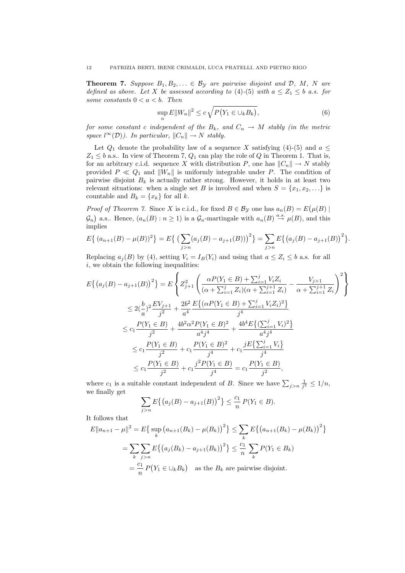**Theorem 7.** Suppose  $B_1, B_2, \ldots \in B_{\mathcal{Y}}$  are pairwise disjoint and  $D, M, N$  are defined as above. Let X be assessed according to (4)-(5) with  $a \leq Z_1 \leq b$  a.s. for some constants  $0 < a < b$ . Then

$$
\sup_{n} E||W_n||^2 \le c\sqrt{P(Y_1 \in \bigcup_k B_k)},\tag{6}
$$

for some constant c independent of the  $B_k$ , and  $C_n \to M$  stably (in the metric space  $l^{\infty}(\mathcal{D})$ ). In particular,  $||C_n|| \to N$  stably.

Let  $Q_1$  denote the probability law of a sequence X satisfying (4)-(5) and  $a \leq$  $Z_1 \leq b$  a.s.. In view of Theorem 7,  $Q_1$  can play the role of  $Q$  in Theorem 1. That is, for an arbitrary c.i.d. sequence X with distribution P, one has  $||C_n|| \to N$  stably provided  $P \ll Q_1$  and  $||W_n||$  is uniformly integrable under P. The condition of pairwise disjoint  $B_k$  is actually rather strong. However, it holds in at least two relevant situations: when a single set B is involved and when  $S = \{x_1, x_2, \ldots\}$  is countable and  $B_k = \{x_k\}$  for all k.

*Proof of Theorem 7.* Since X is c.i.d., for fixed  $B \in \mathcal{B}_{\mathcal{Y}}$  one has  $a_n(B) = E(\mu(B))$  $\mathcal{G}_n$  a.s.. Hence,  $(a_n(B) : n \ge 1)$  is a  $\mathcal{G}_n$ -martingale with  $a_n(B) \stackrel{a.s.}{\rightarrow} \mu(B)$ , and this implies

$$
E\{(a_{n+1}(B) - \mu(B))^2\} = E\{ \left(\sum_{j>n} (a_j(B) - a_{j+1}(B))\right)^2\} = \sum_{j>n} E\{(a_j(B) - a_{j+1}(B))^2\}.
$$

Replacing  $a_i(B)$  by (4), setting  $V_i = I_B(Y_i)$  and using that  $a \leq Z_i \leq b$  a.s. for all  $i$ , we obtain the following inequalities:

$$
E\{(a_j(B) - a_{j+1}(B))^2\} = E\left\{Z_{j+1}^2\left(\frac{\alpha P(Y_1 \in B) + \sum_{i=1}^j V_i Z_i}{(\alpha + \sum_{i=1}^j Z_i)(\alpha + \sum_{i=1}^{j+1} Z_i)} - \frac{V_{j+1}}{\alpha + \sum_{i=1}^{j+1} Z_i}\right)^2\right\}
$$
  

$$
\leq 2(\frac{b}{a})^2 \frac{EV_{j+1}}{j^2} + \frac{2b^2}{a^4} \frac{E\{(\alpha P(Y_1 \in B) + \sum_{i=1}^j V_i Z_i)^2\}}{j^4}
$$
  

$$
\leq c_1 \frac{P(Y_1 \in B)}{j^2} + \frac{4b^2 \alpha^2 P(Y_1 \in B)^2}{a^4 j^4} + \frac{4b^4 E\{(\sum_{i=1}^j V_i)^2\}}{a^4 j^4}
$$
  

$$
\leq c_1 \frac{P(Y_1 \in B)}{j^2} + c_1 \frac{P(Y_1 \in B)^2}{j^4} + c_1 \frac{jE\{\sum_{i=1}^j V_i\}}{j^4}
$$
  

$$
\leq c_1 \frac{P(Y_1 \in B)}{j^2} + c_1 \frac{j^2 P(Y_1 \in B)}{j^4} = c_1 \frac{P(Y_1 \in B)}{j^2},
$$

where  $c_1$  is a suitable constant independent of B. Since we have  $\sum_{j>n} \frac{1}{j^2} \leq 1/n$ , we finally get

$$
\sum_{j>n} E\{(a_j(B) - a_{j+1}(B))^2\} \le \frac{c_1}{n} P(Y_1 \in B).
$$

It follows that

$$
E||a_{n+1} - \mu||^2 = E\{\sup_k (a_{n+1}(B_k) - \mu(B_k))^2\} \le \sum_k E\{(a_{n+1}(B_k) - \mu(B_k))^2\}
$$
  
= 
$$
\sum_k \sum_{j>n} E\{(a_j(B_k) - a_{j+1}(B_k))^2\} \le \frac{c_1}{n} \sum_k P(Y_1 \in B_k)
$$
  
= 
$$
\frac{c_1}{n} P(Y_1 \in \bigcup_k B_k)
$$
 as the  $B_k$  are pairwise disjoint.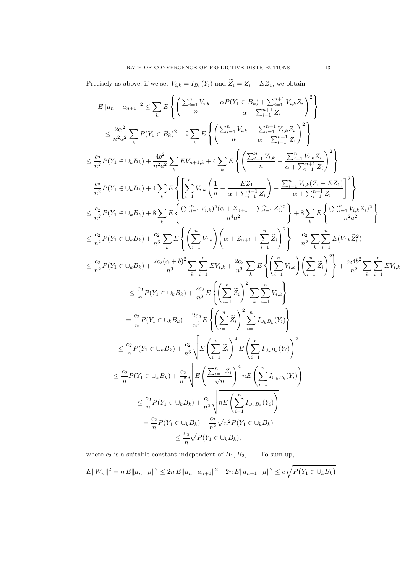Precisely as above, if we set  $V_{i,k} = I_{B_k}(Y_i)$  and  $Z_i = Z_i - EZ_1$ , we obtain

$$
E\|\mu_{n} - a_{n+1}\|^2 \leq \sum_{k} E\left\{ \left( \frac{\sum_{i=1}^{n} V_{i,k}}{n} - \frac{\alpha P(Y_1 \in B_k) + \sum_{i=1}^{n+1} V_{i,k} Z_i}{\alpha + \sum_{i=1}^{n+1} Z_i} \right)^2 \right\}
$$
  
\n
$$
\leq \frac{2\alpha^2}{n^2 a^2} \sum_{k} P(Y_1 \in B_k)^2 + 2 \sum_{k} E\left\{ \left( \frac{\sum_{i=1}^{n} V_{i,k}}{n} - \frac{\sum_{i=1}^{n+1} V_{i,k} Z_i}{\alpha + \sum_{i=1}^{n+1} Z_i} \right)^2 \right\}
$$
  
\n
$$
\leq \frac{\alpha_2}{n^2} P(Y_1 \in \cup_k B_k) + \frac{4b^2}{n^2 a^2} \sum_{k} E V_{n+1,k} + 4 \sum_{k} E\left\{ \left( \frac{\sum_{i=1}^{n} V_{i,k}}{n} - \frac{\sum_{i=1}^{n} V_{i,k} Z_i}{\alpha + \sum_{i=1}^{n+1} Z_i} \right)^2 \right\}
$$
  
\n
$$
= \frac{\alpha_2}{n^2} P(Y_1 \in \cup_k B_k) + 4 \sum_{k} E\left\{ \left[ \sum_{i=1}^{n} V_{i,k} \left( \frac{1}{n} - \frac{EZ_1}{\alpha + \sum_{i=1}^{n+1} Z_i} \right) - \frac{\sum_{i=1}^{n} V_{i,k} (Z_i - EZ_1)}{\alpha + \sum_{i=1}^{n+1} Z_i} \right]^2 \right\}
$$
  
\n
$$
\leq \frac{\alpha_2}{n^2} P(Y_1 \in \cup_k B_k) + 8 \sum_{k} E\left\{ \frac{\sum_{i=1}^{n} V_{i,k} \right\} (\alpha + Z_{n+1} + \sum_{i=1}^{n} \tilde{Z}_i)^2}{\alpha^4 a^2} \right\} + 8 \sum_{k} E\left\{ \frac{\sum_{i=1}^{n} V_{i,k} Z_i}{n^2 a^2} \right\}
$$
  
\n
$$
\leq \frac{\alpha_2}{n^2} P(Y_1 \in \cup_k B_k) + \frac{2\alpha_2 (\alpha + b)^2}{n^3}
$$

where  $c_2$  is a suitable constant independent of  $B_1, B_2, \ldots$  To sum up,  $E||W_n||^2 = n E||\mu_n - \mu||^2 \leq 2n E||\mu_n - a_{n+1}||^2 + 2n E||a_{n+1} - \mu||^2 \leq c \sqrt{P(Y_1 \in \bigcup_k B_k)}$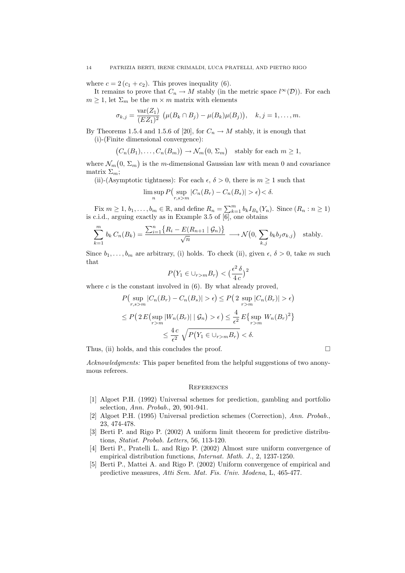where  $c = 2 (c_1 + c_2)$ . This proves inequality (6).

It remains to prove that  $C_n \to M$  stably (in the metric space  $l^{\infty}(\mathcal{D})$ ). For each  $m \geq 1$ , let  $\Sigma_m$  be the  $m \times m$  matrix with elements

$$
\sigma_{k,j} = \frac{\text{var}(Z_1)}{(EZ_1)^2} \ (\mu(B_k \cap B_j) - \mu(B_k)\mu(B_j)), \quad k, j = 1, ..., m.
$$

By Theorems 1.5.4 and 1.5.6 of [20], for  $C_n \to M$  stably, it is enough that (i)-(Finite dimensional convergence):

$$
(C_n(B_1),..., C_n(B_m)) \to \mathcal{N}_m(0, \Sigma_m)
$$
 stably for each  $m \ge 1$ ,

where  $\mathcal{N}_m(0, \Sigma_m)$  is the m-dimensional Gaussian law with mean 0 and covariance matrix  $\Sigma_m$ ;

(ii)-(Asymptotic tightness): For each  $\epsilon$ ,  $\delta > 0$ , there is  $m \ge 1$  such that

$$
\limsup_{n} P\left(\sup_{r,s>m} |C_n(B_r) - C_n(B_s)| > \epsilon\right) < \delta.
$$

Fix  $m \geq 1, b_1, \ldots, b_m \in \mathbb{R}$ , and define  $R_n = \sum_{k=1}^m b_k I_{B_k}(Y_n)$ . Since  $(R_n : n \geq 1)$ is c.i.d., arguing exactly as in Example 3.5 of [6], one obtains

$$
\sum_{k=1}^{m} b_k C_n(B_k) = \frac{\sum_{i=1}^{n} \{R_i - E(R_{n+1} | \mathcal{G}_n)\}}{\sqrt{n}} \longrightarrow \mathcal{N}\left(0, \sum_{k,j} b_k b_j \sigma_{k,j}\right) \text{ stably.}
$$

Since  $b_1, \ldots, b_m$  are arbitrary, (i) holds. To check (ii), given  $\epsilon, \delta > 0$ , take m such that

$$
P(Y_1 \in \bigcup_{r>m} B_r) < \left(\frac{\epsilon^2 \delta}{4c}\right)^2
$$

where  $c$  is the constant involved in  $(6)$ . By what already proved,

$$
P\left(\sup_{r,s>m}|C_n(B_r) - C_n(B_s)| > \epsilon\right) \le P\left(2 \sup_{r>m}|C_n(B_r)| > \epsilon\right)
$$
  

$$
\le P\left(2 E\left(\sup_{r>m}|W_n(B_r)| \mid \mathcal{G}_n\right) > \epsilon\right) \le \frac{4}{\epsilon^2} E\left\{\sup_{r>m}W_n(B_r)^2\right\}
$$
  

$$
\le \frac{4c}{\epsilon^2} \sqrt{P\left(Y_1 \in \bigcup_{r>m} B_r\right)} < \delta.
$$

Thus, (ii) holds, and this concludes the proof.  $\Box$ 

Acknowledgments: This paper benefited from the helpful suggestions of two anonymous referees.

#### **REFERENCES**

- [1] Algoet P.H. (1992) Universal schemes for prediction, gambling and portfolio selection, Ann. Probab., 20, 901-941.
- [2] Algoet P.H. (1995) Universal prediction schemes (Correction), Ann. Probab., 23, 474-478.
- [3] Berti P. and Rigo P. (2002) A uniform limit theorem for predictive distributions, Statist. Probab. Letters, 56, 113-120.
- [4] Berti P., Pratelli L. and Rigo P. (2002) Almost sure uniform convergence of empirical distribution functions, Internat. Math. J., 2, 1237-1250.
- [5] Berti P., Mattei A. and Rigo P. (2002) Uniform convergence of empirical and predictive measures, Atti Sem. Mat. Fis. Univ. Modena, L, 465-477.